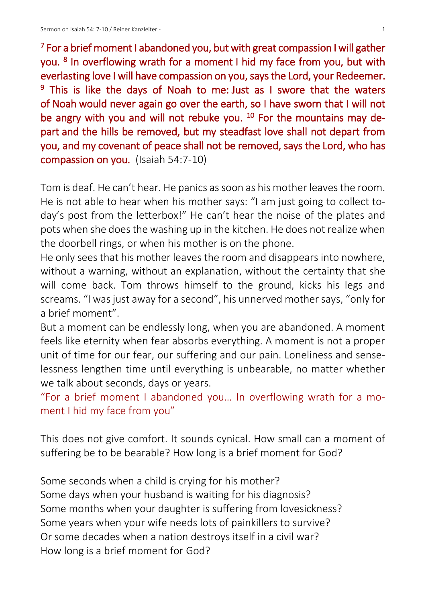<sup>7</sup> For a brief moment I abandoned you, but with great compassion I will gather you. <sup>8</sup> In overflowing wrath for a moment I hid my face from you, but with everlasting love I will have compassion on you, says the Lord, your Redeemer. <sup>9</sup> This is like the days of Noah to me: Just as I swore that the waters of Noah would never again go over the earth, so I have sworn that I will not be angry with you and will not rebuke you.  $10$  For the mountains may depart and the hills be removed, but my steadfast love shall not depart from you, and my covenant of peace shall not be removed, says the Lord, who has compassion on you. (Isaiah 54:7-10)

Tom is deaf. He can't hear. He panics as soon as his mother leaves the room. He is not able to hear when his mother says: "I am just going to collect today's post from the letterbox!" He can't hear the noise of the plates and pots when she does the washing up in the kitchen. He does not realize when the doorbell rings, or when his mother is on the phone.

He only sees that his mother leaves the room and disappears into nowhere, without a warning, without an explanation, without the certainty that she will come back. Tom throws himself to the ground, kicks his legs and screams. "I was just away for a second", his unnerved mother says, "only for a brief moment".

But a moment can be endlessly long, when you are abandoned. A moment feels like eternity when fear absorbs everything. A moment is not a proper unit of time for our fear, our suffering and our pain. Loneliness and senselessness lengthen time until everything is unbearable, no matter whether we talk about seconds, days or years.

"For a brief moment I abandoned you… In overflowing wrath for a moment I hid my face from you"

This does not give comfort. It sounds cynical. How small can a moment of suffering be to be bearable? How long is a brief moment for God?

Some seconds when a child is crying for his mother? Some days when your husband is waiting for his diagnosis? Some months when your daughter is suffering from lovesickness? Some years when your wife needs lots of painkillers to survive? Or some decades when a nation destroys itself in a civil war? How long is a brief moment for God?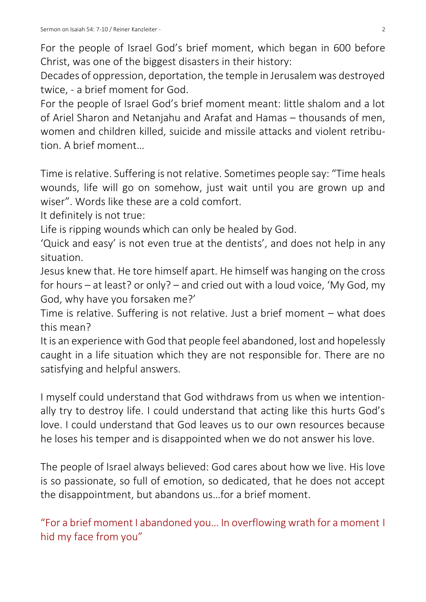For the people of Israel God's brief moment, which began in 600 before Christ, was one of the biggest disasters in their history:

Decades of oppression, deportation, the temple in Jerusalem was destroyed twice, - a brief moment for God.

For the people of Israel God's brief moment meant: little shalom and a lot of Ariel Sharon and Netanjahu and Arafat and Hamas – thousands of men, women and children killed, suicide and missile attacks and violent retribution. A brief moment…

Time is relative. Suffering is not relative. Sometimes people say: "Time heals wounds, life will go on somehow, just wait until you are grown up and wiser". Words like these are a cold comfort.

It definitely is not true:

Life is ripping wounds which can only be healed by God.

'Quick and easy' is not even true at the dentists', and does not help in any situation.

Jesus knew that. He tore himself apart. He himself was hanging on the cross for hours – at least? or only? – and cried out with a loud voice, 'My God, my God, why have you forsaken me?'

Time is relative. Suffering is not relative. Just a brief moment – what does this mean?

It is an experience with God that people feel abandoned, lost and hopelessly caught in a life situation which they are not responsible for. There are no satisfying and helpful answers.

I myself could understand that God withdraws from us when we intentionally try to destroy life. I could understand that acting like this hurts God's love. I could understand that God leaves us to our own resources because he loses his temper and is disappointed when we do not answer his love.

The people of Israel always believed: God cares about how we live. His love is so passionate, so full of emotion, so dedicated, that he does not accept the disappointment, but abandons us…for a brief moment.

"For a brief moment I abandoned you… In overflowing wrath for a moment I hid my face from you"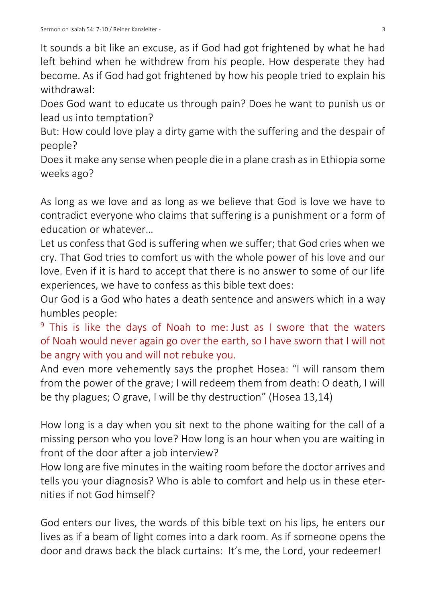It sounds a bit like an excuse, as if God had got frightened by what he had left behind when he withdrew from his people. How desperate they had become. As if God had got frightened by how his people tried to explain his withdrawal:

Does God want to educate us through pain? Does he want to punish us or lead us into temptation?

But: How could love play a dirty game with the suffering and the despair of people?

Does it make any sense when people die in a plane crash as in Ethiopia some weeks ago?

As long as we love and as long as we believe that God is love we have to contradict everyone who claims that suffering is a punishment or a form of education or whatever…

Let us confess that God is suffering when we suffer; that God cries when we cry. That God tries to comfort us with the whole power of his love and our love. Even if it is hard to accept that there is no answer to some of our life experiences, we have to confess as this bible text does:

Our God is a God who hates a death sentence and answers which in a way humbles people:

<sup>9</sup> This is like the days of Noah to me: Just as I swore that the waters of Noah would never again go over the earth, so I have sworn that I will not be angry with you and will not rebuke you.

And even more vehemently says the prophet Hosea: "I will ransom them from the power of the grave; I will redeem them from death: O death, I will be thy plagues; O grave, I will be thy destruction" (Hosea 13,14)

How long is a day when you sit next to the phone waiting for the call of a missing person who you love? How long is an hour when you are waiting in front of the door after a job interview?

How long are five minutes in the waiting room before the doctor arrives and tells you your diagnosis? Who is able to comfort and help us in these eternities if not God himself?

God enters our lives, the words of this bible text on his lips, he enters our lives as if a beam of light comes into a dark room. As if someone opens the door and draws back the black curtains: It's me, the Lord, your redeemer!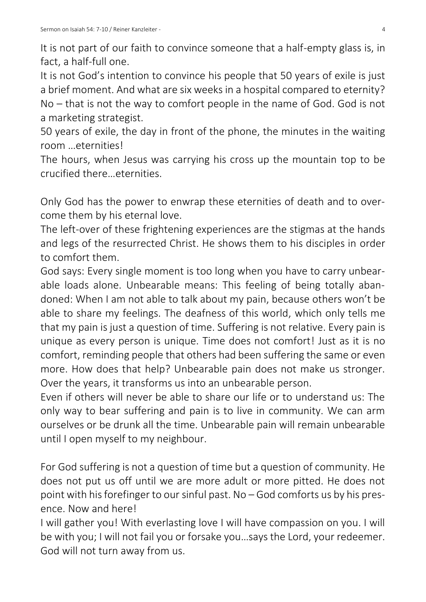It is not part of our faith to convince someone that a half-empty glass is, in fact, a half-full one.

It is not God's intention to convince his people that 50 years of exile is just a brief moment. And what are six weeks in a hospital compared to eternity? No – that is not the way to comfort people in the name of God. God is not a marketing strategist.

50 years of exile, the day in front of the phone, the minutes in the waiting room eternities!

The hours, when Jesus was carrying his cross up the mountain top to be crucified there…eternities.

Only God has the power to enwrap these eternities of death and to overcome them by his eternal love.

The left-over of these frightening experiences are the stigmas at the hands and legs of the resurrected Christ. He shows them to his disciples in order to comfort them.

God says: Every single moment is too long when you have to carry unbearable loads alone. Unbearable means: This feeling of being totally abandoned: When I am not able to talk about my pain, because others won't be able to share my feelings. The deafness of this world, which only tells me that my pain is just a question of time. Suffering is not relative. Every pain is unique as every person is unique. Time does not comfort! Just as it is no comfort, reminding people that others had been suffering the same or even more. How does that help? Unbearable pain does not make us stronger. Over the years, it transforms us into an unbearable person.

Even if others will never be able to share our life or to understand us: The only way to bear suffering and pain is to live in community. We can arm ourselves or be drunk all the time. Unbearable pain will remain unbearable until I open myself to my neighbour.

For God suffering is not a question of time but a question of community. He does not put us off until we are more adult or more pitted. He does not point with his forefinger to our sinful past. No – God comforts us by his presence. Now and here!

I will gather you! With everlasting love I will have compassion on you. I will be with you; I will not fail you or forsake you…says the Lord, your redeemer. God will not turn away from us.